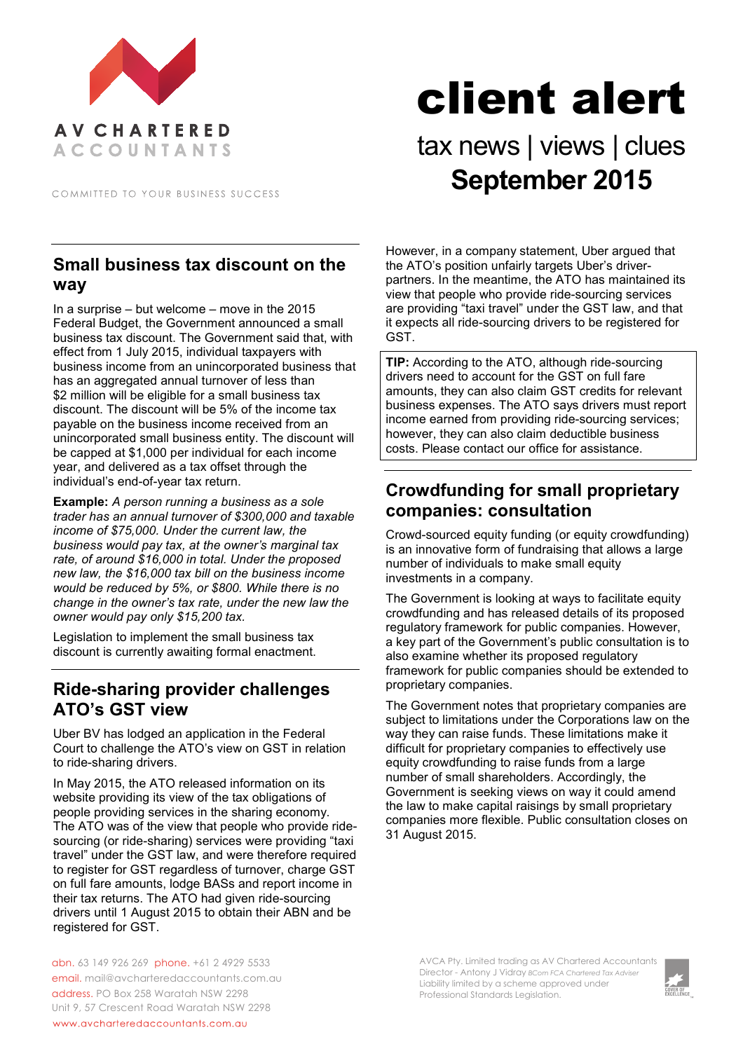

COMMITTED TO YOUR BUSINESS SUCCESS

#### **Small business tax discount on the way**

In a surprise – but welcome – move in the 2015 Federal Budget, the Government announced a small business tax discount. The Government said that, with effect from 1 July 2015, individual taxpayers with business income from an unincorporated business that has an aggregated annual turnover of less than \$2 million will be eligible for a small business tax discount. The discount will be 5% of the income tax payable on the business income received from an unincorporated small business entity. The discount will be capped at \$1,000 per individual for each income year, and delivered as a tax offset through the individual's end-of-year tax return.

**Example:** *A person running a business as a sole trader has an annual turnover of \$300,000 and taxable income of \$75,000. Under the current law, the business would pay tax, at the owner's marginal tax rate, of around \$16,000 in total. Under the proposed new law, the \$16,000 tax bill on the business income would be reduced by 5%, or \$800. While there is no change in the owner's tax rate, under the new law the owner would pay only \$15,200 tax.*

Legislation to implement the small business tax discount is currently awaiting formal enactment.

### **Ride-sharing provider challenges ATO's GST view**

Uber BV has lodged an application in the Federal Court to challenge the ATO's view on GST in relation to ride-sharing drivers.

In May 2015, the ATO released information on its website providing its view of the tax obligations of people providing services in the sharing economy. The ATO was of the view that people who provide ridesourcing (or ride-sharing) services were providing "taxi travel" under the GST law, and were therefore required to register for GST regardless of turnover, charge GST on full fare amounts, lodge BASs and report income in their tax returns. The ATO had given ride-sourcing drivers until 1 August 2015 to obtain their ABN and be registered for GST.

abn. 63 149 926 269 phone. +61 2 4929 5533 email. mail@avcharteredaccountants.com.au address. PO Box 258 Waratah NSW 2298 Unit 9, 57 Crescent Road Waratah NSW 2298 www.avcharteredaccountants.com.au

# client alert

## tax news | views | clues **September 2015**

However, in a company statement, Uber argued that the ATO's position unfairly targets Uber's driverpartners. In the meantime, the ATO has maintained its view that people who provide ride-sourcing services are providing "taxi travel" under the GST law, and that it expects all ride-sourcing drivers to be registered for GST.

**TIP:** According to the ATO, although ride-sourcing drivers need to account for the GST on full fare amounts, they can also claim GST credits for relevant business expenses. The ATO says drivers must report income earned from providing ride-sourcing services; however, they can also claim deductible business costs. Please contact our office for assistance.

### **Crowdfunding for small proprietary companies: consultation**

Crowd-sourced equity funding (or equity crowdfunding) is an innovative form of fundraising that allows a large number of individuals to make small equity investments in a company.

The Government is looking at ways to facilitate equity crowdfunding and has released details of its proposed regulatory framework for public companies. However, a key part of the Government's public consultation is to also examine whether its proposed regulatory framework for public companies should be extended to proprietary companies.

The Government notes that proprietary companies are subject to limitations under the Corporations law on the way they can raise funds. These limitations make it difficult for proprietary companies to effectively use equity crowdfunding to raise funds from a large number of small shareholders. Accordingly, the Government is seeking views on way it could amend the law to make capital raisings by small proprietary companies more flexible. Public consultation closes on 31 August 2015.

> AVCA Pty. Limited trading as AV Chartered Accountants Director - Antony J Vidray *BCom FCA Chartered Tax Adviser* Liability limited by a scheme approved under Professional Standards Legislation.